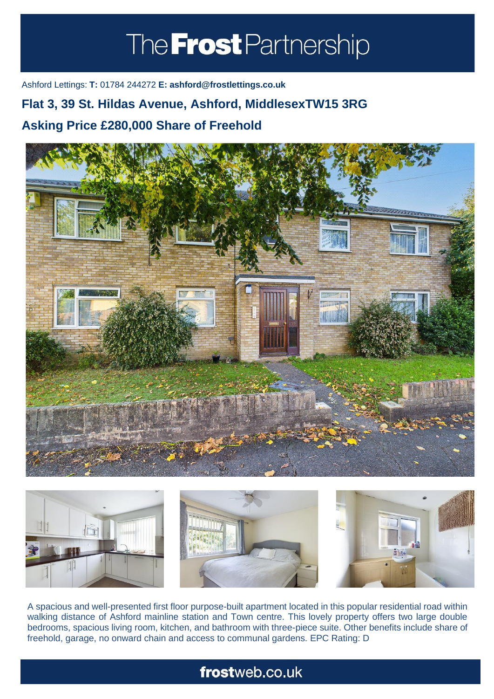# The **Frost** Partnership

Ashford Lettings: **T:** 01784 244272 **E: ashford@frostlettings.co.uk**

### **Flat 3, 39 St. Hildas Avenue, Ashford, MiddlesexTW15 3RG**

### **Asking Price £280,000 Share of Freehold (Property.Lettings.RentQual == "PA" ? "Rent on application" :**





A spacious and well-presented first floor purpose-built apartment located in this popular residential road within walking distance of Ashford mainline station and Town centre. This lovely property offers two large double bedrooms, spacious living room, kitchen, and bathroom with three-piece suite. Other benefits include share of freehold, garage, no onward chain and access to communal gardens. EPC Rating: D

## frostweb.co.uk